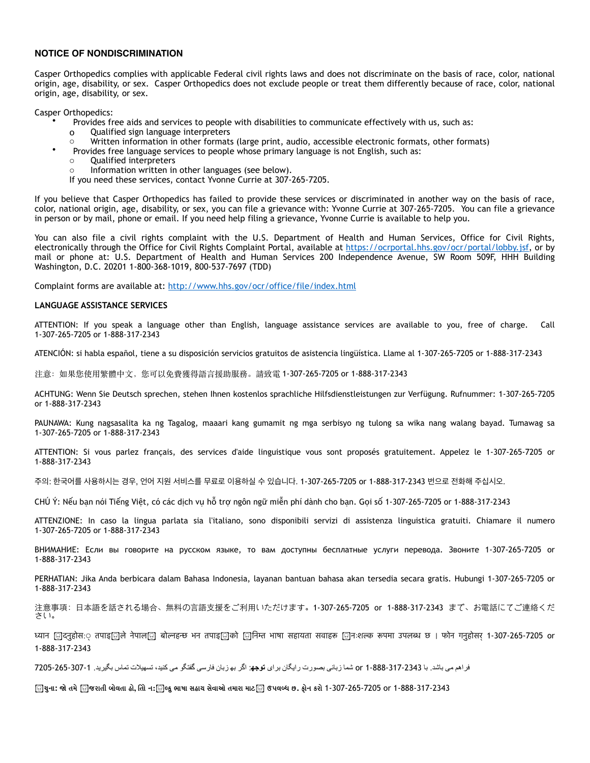## **NOTICE OF NONDISCRIMINATION**

Casper Orthopedics complies with applicable Federal civil rights laws and does not discriminate on the basis of race, color, national origin, age, disability, or sex. Casper Orthopedics does not exclude people or treat them differently because of race, color, national origin, age, disability, or sex.

Casper Orthopedics:

- Provides free aids and services to people with disabilities to communicate effectively with us, such as:
	- o Qualified sign language interpreters
- Written information in other formats (large print, audio, accessible electronic formats, other formats)
- Provides free language services to people whose primary language is not English, such as:
- o Qualified interpreters
- Information written in other languages (see below).

If you need these services, contact Yvonne Currie at 307-265-7205.

If you believe that Casper Orthopedics has failed to provide these services or discriminated in another way on the basis of race, color, national origin, age, disability, or sex, you can file a grievance with: Yvonne Currie at 307-265-7205. You can file a grievance in person or by mail, phone or email. If you need help filing a grievance, Yvonne Currie is available to help you.

You can also file a civil rights complaint with the U.S. Department of Health and Human Services, Office for Civil Rights, electronically through the Office for Civil Rights Complaint Portal, available at <https://ocrportal.hhs.gov/ocr/portal/lobby.jsf>, or by mail or phone at: U.S. Department of Health and Human Services 200 Independence Avenue, SW Room 509F, HHH Building Washington, D.C. 20201 1-800-368-1019, 800-537-7697 (TDD)

Complaint forms are available at: <http://www.hhs.gov/ocr/office/file/index.html>

## **LANGUAGE ASSISTANCE SERVICES**

ATTENTION: If you speak a language other than English, language assistance services are available to you, free of charge. Call 1-307-265-7205 or 1-888-317-2343

ATENCIÓN: si habla español, tiene a su disposición servicios gratuitos de asistencia lingüística. Llame al 1-307-265-7205 or 1-888-317-2343

注意:如果您使⽤繁體中⽂,您可以免費獲得語⾔援助服務。請致電 1-307-265-7205 or 1-888-317-2343

ACHTUNG: Wenn Sie Deutsch sprechen, stehen Ihnen kostenlos sprachliche Hilfsdienstleistungen zur Verfügung. Rufnummer: 1-307-265-7205 or 1-888-317-2343

PAUNAWA: Kung nagsasalita ka ng Tagalog, maaari kang gumamit ng mga serbisyo ng tulong sa wika nang walang bayad. Tumawag sa 1-307-265-7205 or 1-888-317-2343

ATTENTION: Si vous parlez français, des services d'aide linguistique vous sont proposés gratuitement. Appelez le 1-307-265-7205 or 1-888-317-2343

주의: 한국어를 사용하시는 경우, 언어 지원 서비스를 무료로 이용하실 수 있습니다. 1-307-265-7205 or 1-888-317-2343 번으로 전화해 주십시오.

CHÚ Ý: Nếu bạn nói Tiếng Việt, có các dịch vụ hỗ trợ ngôn ngữ miễn phí dành cho bạn. Gọi số 1-307-265-7205 or 1-888-317-2343

ATTENZIONE: In caso la lingua parlata sia l'italiano, sono disponibili servizi di assistenza linguistica gratuiti. Chiamare il numero 1-307-265-7205 or 1-888-317-2343

ВНИМАНИЕ: Если вы говорите на русском языке, то вам доступны бесплатные услуги перевода. Звоните 1-307-265-7205 or 1-888-317-2343

PERHATIAN: Jika Anda berbicara dalam Bahasa Indonesia, layanan bantuan bahasa akan tersedia secara gratis. Hubungi 1-307-265-7205 or 1-888-317-2343

注意事項: 日本語を話される場合、無料の言語支援をご利用いただけます。1-307-265-7205 or 1-888-317-2343 まで、お電話にてご連絡くだ さい。

ध्यान [ि]दनुहोस:ं तपाइ[ाले नेपाल[ा] बोल्नहन्छ भन तपाइ[ाको [ानिम्त भाषा सहायता सवाहरू [ानःशल्क रूपमा उपलब्ध छ । फोन गनुहोसर 1-307-265-7205 or 1-888-317-2343

فراھم می باشد. با 1-888-317-2343 or شما زبانی بصورت رایگان برای **توجھ**: اگر بھ زبان فارسی گفتگو می کنید، تسھیلات تماس بگیرید. 7205-265-307-1

િયુના: જો તમે િુજરાતી બોલતા હો, તિો ન:િુબ્દુ ભાષા સહાચ સેવાઓ તમારા માટ۞ ઉપલબ્ધ છ. ફોન કરો 1-307-265-7205 or 1-888-317-2343